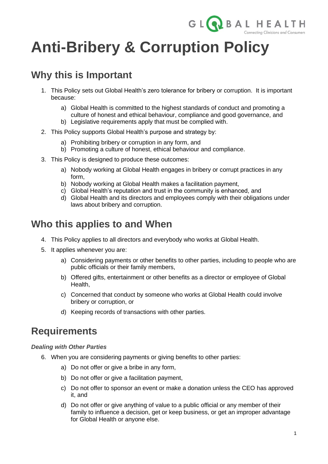

# **Anti-Bribery & Corruption Policy**

# **Why this is Important**

- 1. This Policy sets out Global Health's zero tolerance for bribery or corruption. It is important because:
	- a) Global Health is committed to the highest standards of conduct and promoting a culture of honest and ethical behaviour, compliance and good governance, and
	- b) Legislative requirements apply that must be complied with.
- 2. This Policy supports Global Health's purpose and strategy by:
	- a) Prohibiting bribery or corruption in any form, and
	- b) Promoting a culture of honest, ethical behaviour and compliance.
- 3. This Policy is designed to produce these outcomes:
	- a) Nobody working at Global Health engages in bribery or corrupt practices in any form,
	- b) Nobody working at Global Health makes a facilitation payment,
	- c) Global Health's reputation and trust in the community is enhanced, and
	- d) Global Health and its directors and employees comply with their obligations under laws about bribery and corruption.

### **Who this applies to and When**

- 4. This Policy applies to all directors and everybody who works at Global Health.
- 5. It applies whenever you are:
	- a) Considering payments or other benefits to other parties, including to people who are public officials or their family members,
	- b) Offered gifts, entertainment or other benefits as a director or employee of Global Health,
	- c) Concerned that conduct by someone who works at Global Health could involve bribery or corruption, or
	- d) Keeping records of transactions with other parties.

### **Requirements**

#### *Dealing with Other Parties*

- 6. When you are considering payments or giving benefits to other parties:
	- a) Do not offer or give a bribe in any form,
	- b) Do not offer or give a facilitation payment,
	- c) Do not offer to sponsor an event or make a donation unless the CEO has approved it, and
	- d) Do not offer or give anything of value to a public official or any member of their family to influence a decision, get or keep business, or get an improper advantage for Global Health or anyone else.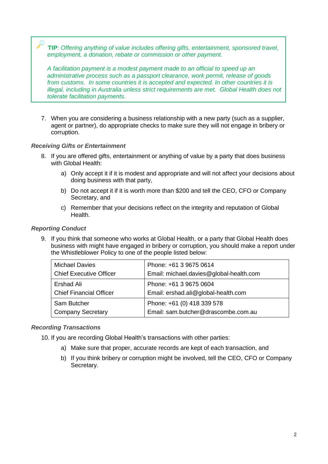**TIP**: *Offering anything of value includes offering gifts, entertainment, sponsored travel, employment, a donation, rebate or commission or other payment.*

*A facilitation payment is a modest payment made to an official to speed up an administrative process such as a passport clearance, work permit, release of goods from customs. In some countries it is accepted and expected. In other countries it is illegal, including in Australia unless strict requirements are met. Global Health does not tolerate facilitation payments.* 

7. When you are considering a business relationship with a new party (such as a supplier, agent or partner), do appropriate checks to make sure they will not engage in bribery or corruption.

#### *Receiving Gifts or Entertainment*

- 8. If you are offered gifts, entertainment or anything of value by a party that does business with Global Health:
	- a) Only accept it if it is modest and appropriate and will not affect your decisions about doing business with that party,
	- b) Do not accept it if it is worth more than \$200 and tell the CEO, CFO or Company Secretary, and
	- c) Remember that your decisions reflect on the integrity and reputation of Global Health.

#### *Reporting Conduct*

9. If you think that someone who works at Global Health, or a party that Global Health does business with might have engaged in bribery or corruption, you should make a report under the Whistleblower Policy to one of the people listed below:

| <b>Michael Davies</b>          | Phone: +61 3 9675 0614                  |  |
|--------------------------------|-----------------------------------------|--|
| <b>Chief Executive Officer</b> | Email: michael.davies@global-health.com |  |
| Ershad Ali                     | Phone: +61 3 9675 0604                  |  |
| <b>Chief Financial Officer</b> | Email: ershad.ali@global-health.com     |  |
| Sam Butcher                    | Phone: +61 (0) 418 339 578              |  |
| <b>Company Secretary</b>       | Email: sam.butcher@drascombe.com.au     |  |

#### *Recording Transactions*

10. If you are recording Global Health's transactions with other parties:

- a) Make sure that proper, accurate records are kept of each transaction, and
- b) If you think bribery or corruption might be involved, tell the CEO, CFO or Company Secretary.